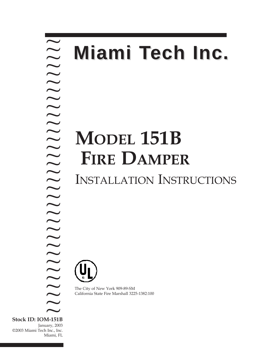### **MODEL 151B FIRE DAMPER** INSTALLATION INSTRUCTIONS ~ ? ? ? ? ? ? ? ? ? ? ? ? ? ? ? ??? ? ? ? ? ? ? ? ? ? ?? ? ? ? ? **Miami Tech Inc.**

The City of New York 909-89-SM California State Fire Marshall 3225-1382:100

**Stock ID: IOM-151B** ~ January, 2003 ? ?

©2003 Miami Tech Inc., Inc. Miami, FL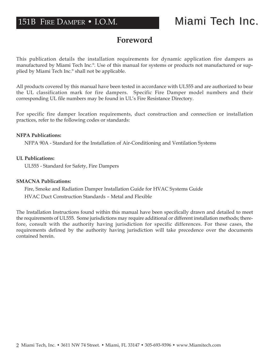# 151B FIRE DAMPER • I.O.M.

# Miami Tech Inc.

# **Foreword**

This publication details the installation requirements for dynamic application fire dampers as manufactured by Miami Tech Inc.®. Use of this manual for systems or products not manufactured or supplied by Miami Tech Inc.® shall not be applicable.

All products covered by this manual have been tested in accordance with UL555 and are authorized to bear the UL classification mark for fire dampers. Specific Fire Damper model numbers and their corresponding UL file numbers may be found in UL's Fire Resistance Directory.

For specific fire damper location requirements, duct construction and connection or installation practices, refer to the following codes or standards:

#### **NFPA Publications:**

NFPA 90A - Standard for the Installation of Air-Conditioning and Ventilation Systems

#### **UL Publications:**

UL555 - Standard for Safety, Fire Dampers

#### **SMACNA Publications:**

Fire, Smoke and Radiation Damper Installation Guide for HVAC Systems Guide HVAC Duct Construction Standards – Metal and Flexible

The Installation Instructions found within this manual have been specifically drawn and detailed to meet the requirements of UL555. Some jurisdictions may require additional or different installation methods; therefore, consult with the authority having jurisdiction for specific differences. For these cases, the requirements defined by the authority having jurisdiction will take precedence over the documents contained herein.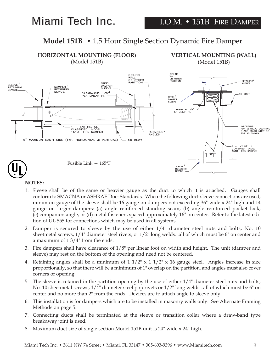# Miami Tech Inc.

## **Model 151B •** 1.5 Hour Single Section Dynamic Fire Damper



### **NOTES:**

- 1. Sleeve shall be of the same or heavier gauge as the duct to which it is attached. Gauges shall conform to SMACNA or ASHRAE Duct Standards. When the following duct-sleeve connections are used, minimum gauge of the sleeve shall be 16 gauge on dampers not exceeding 36" wide x 24" high and 14 gauge on larger dampers: (a) angle reinforced standing seam, (b) angle reinforced pocket lock, (c) companion angle, or (d) metal fasteners spaced approximately 16" on center. Refer to the latest edition of UL 555 for connections which may be used in all systems.
- 2. Damper is secured to sleeve by the use of either 1/4" diameter steel nuts and bolts, No. 10 sheetmetal screws,  $1/4$ " diameter steel rivets, or  $1/2$ " long welds...all of which must be 6" on center and a maximum of 1 3/4" from the ends.
- 3. Fire dampers shall have clearance of 1/8" per linear foot on width and height. The unit (damper and sleeve) may rest on the bottom of the opening and need not be centered.
- 4. Retaining angles shall be a minimum of  $1 \frac{1}{2}$  x  $1 \frac{1}{2}$  x 16 gauge steel. Angles increase in size proportionally, so that there will be a minimum of 1" overlap on the partition, and angles must also cover corners of opening.
- 5. The sleeve is retained in the partition opening by the use of either 1/4" diameter steel nuts and bolts, No. 10 sheetmetal screws, 1/4" diameter steel pop rivets or 1/2" long welds...all of which must be 6" on center and no more than 2" from the ends. Devices are to attach angle to sleeve only.
- 6. This installation is for dampers which are to be installed in masonry walls only. See Alternate Framing Methods on page 5.
- 7. Connecting ducts shall be terminated at the sleeve or transition collar where a draw-band type breakaway joint is used.
- 8. Maximum duct size of single section Model 151B unit is 24" wide x 24" high.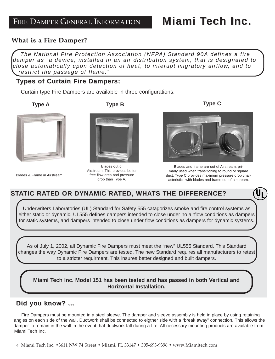### **What is a Fire Damper? What is a Fire Damper?**

*The National Fire Protection Association (NFPA) Standard 90A defines a fire damper as "a device, installed in an air distribution system, that is designated to close automatically upon detection of heat, to interupt migratory airflow, and to restrict the passage of flame."*

### **Types of Curtain Fire Dampers:**

Curtain type Fire Dampers are available in three configurations.

| <b>Type A</b> | <b>Type B</b> | <b>Type C</b> |
|---------------|---------------|---------------|
|               |               |               |



Blades & Frame in Airstream.



Blades out of Airstream. This provides better free flow area and pressure drop than Type A.



Blades and frame are out of Airstream; primarly used when transitioning to round or square duct. Type C provides maximum pressure drop characteristics with blades and frame out of airstream.

## **STATIC RATED OR DYNAMIC RATED, WHATS THE DIFFERENCE?**

Underwriters Laboratories (UL) Standard for Safety 555 catagorizes smoke and fire control systems as either static or dynamic. UL555 defines dampers intended to close under no airflow conditions as dampers for static systems, and dampers intended to close under flow conditions as dampers for dynamic systems.

As of July 1, 2002, all Dynamic Fire Dampers must meet the "new" UL555 Standard. This Standard changes the way Dynamic Fire Dampers are tested. The new Standard requires all manufacturers to retest to a stricter requirment. This insures better designed and built dampers.

**Miami Tech Inc. Model 151 has been tested and has passed in both Vertical and Horizontal Installation.**

### **Did you know? ... Did you know? ...**

Fire Dampers must be mounted in a steel sleeve. The damper and sleeve assembly is held in place by using retaining angles on each side of the wall. Ductwork shall be connected to eigther side with a "break away" connection. This allows the damper to remain in the wall in the event that ductwork fall during a fire. All necessary mounting products are available from Miami Tech Inc.

4 Miami Tech Inc. •3611 NW 74 Street • Miami, FL 33147 • 305-693-9396 • www.Miamitech.com